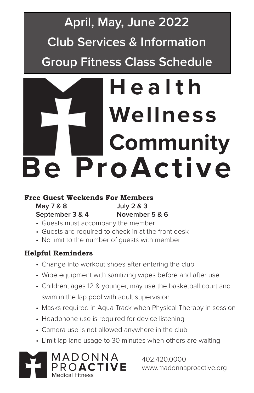# **April, May, June 2022 Club Services & Information Group Fitness Class Schedule**

# **Health Wellness Community Be ProActive**

### **Free Guest Weekends For Members**

**May 7 & 8 July 2 & 3**

# **September 3 & 4 November 5 & 6**

- Guests must accompany the member
- Guests are required to check in at the front desk
- No limit to the number of guests with member

### **Helpful Reminders**

- Change into workout shoes after entering the club
- Wipe equipment with sanitizing wipes before and after use
- Children, ages 12 & younger, may use the basketball court and swim in the lap pool with adult supervision
- Masks required in Aqua Track when Physical Therapy in session
- Headphone use is required for device listening
- Camera use is not allowed anywhere in the club
- Limit lap lane usage to 30 minutes when others are waiting



402.420.0000 www.madonnaproactive.org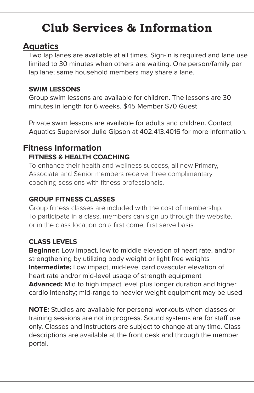### **Aquatics**

Two lap lanes are available at all times. Sign-in is required and lane use limited to 30 minutes when others are waiting. One person/family per lap lane; same household members may share a lane.

### **SWIM LESSONS**

Group swim lessons are available for children. The lessons are 30 minutes in length for 6 weeks. \$45 Member \$70 Guest

Private swim lessons are available for adults and children. Contact Aquatics Supervisor Julie Gipson at 402.413.4016 for more information.

### **Fitness Information FITNESS & HEALTH COACHING**

To enhance their health and wellness success, all new Primary, Associate and Senior members receive three complimentary coaching sessions with fitness professionals.

### **GROUP FITNESS CLASSES**

Group fitness classes are included with the cost of membership. To participate in a class, members can sign up through the website. or in the class location on a first come, first serve basis.

### **CLASS LEVELS**

**Beginner:** Low impact, low to middle elevation of heart rate, and/or strengthening by utilizing body weight or light free weights **Intermediate:** Low impact, mid-level cardiovascular elevation of heart rate and/or mid-level usage of strength equipment **Advanced:** Mid to high impact level plus longer duration and higher cardio intensity; mid-range to heavier weight equipment may be used

**NOTE:** Studios are available for personal workouts when classes or training sessions are not in progress. Sound systems are for staff use only. Classes and instructors are subject to change at any time. Class descriptions are available at the front desk and through the member portal.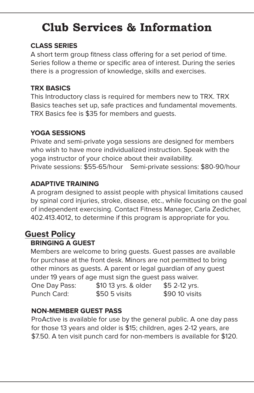#### **CLASS SERIES**

A short term group fitness class offering for a set period of time. Series follow a theme or specific area of interest. During the series there is a progression of knowledge, skills and exercises.

#### **TRX BASICS**

This Introductory class is required for members new to TRX. TRX Basics teaches set up, safe practices and fundamental movements. TRX Basics fee is \$35 for members and guests.

#### **YOGA SESSIONS**

Private and semi-private yoga sessions are designed for members who wish to have more individualized instruction. Speak with the yoga instructor of your choice about their availability. Private sessions: \$55-65/hour Semi-private sessions: \$80-90/hour

#### **ADAPTIVE TRAINING**

A program designed to assist people with physical limitations caused by spinal cord injuries, stroke, disease, etc., while focusing on the goal of independent exercising. Contact Fitness Manager, Carla Zedicher, 402.413.4012, to determine if this program is appropriate for you.

### **Guest Policy**

#### **BRINGING A GUEST**

Members are welcome to bring guests. Guest passes are available for purchase at the front desk. Minors are not permitted to bring other minors as guests. A parent or legal guardian of any guest under 19 years of age must sign the guest pass waiver.

| One Day Pass: | \$10 13 yrs. & older | \$5 2-12 yrs.  |
|---------------|----------------------|----------------|
| Punch Card:   | $$505 \, visits$     | \$90 10 visits |

#### **NON-MEMBER GUEST PASS**

ProActive is available for use by the general public. A one day pass for those 13 years and older is \$15; children, ages 2-12 years, are \$7.50. A ten visit punch card for non-members is available for \$120.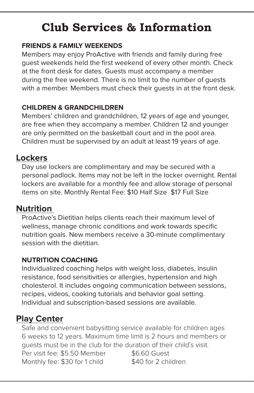#### **FRIENDS & FAMILY WEEKENDS**

Members may enjoy ProActive with friends and family during free guest weekends held the first weekend of every other month. Check at the front desk for dates. Guests must accompany a member during the free weekend. There is no limit to the number of guests with a member. Members must check their guests in at the front desk.

#### **CHILDREN & GRANDCHILDREN**

Members' children and grandchildren, 12 years of age and younger, are free when they accompany a member. Children 12 and younger are only permitted on the basketball court and in the pool area. Children must be supervised by an adult at least 19 years of age.

### **Lockers**

Day use lockers are complimentary and may be secured with a personal padlock. Items may not be left in the locker overnight. Rental lockers are available for a monthly fee and allow storage of personal items on site. Monthly Rental Fee: \$10 Half Size \$17 Full Size

### **Nutrition**

ProActive's Dietitian helps clients reach their maximum level of wellness, manage chronic conditions and work towards specific nutrition goals. New members receive a 30-minute complimentary session with the dietitian.

### **NUTRITION COACHING**

Individualized coaching helps with weight loss, diabetes, insulin resistance, food sensitivities or allergies, hypertension and high cholesterol. It includes ongoing communication between sessions, recipes, videos, cooking tutorials and behavior goal setting. Individual and subscription-based sessions are available.

### **Play Center**

Safe and convenient babysitting service available for children ages 6 weeks to 12 years. Maximum time limit is 2 hours and members or guests must be in the club for the duration of their child's visit. Per visit fee: \$5.50 Member \$6.60 Guest Monthly fee: \$30 for 1 child \$40 for 2 children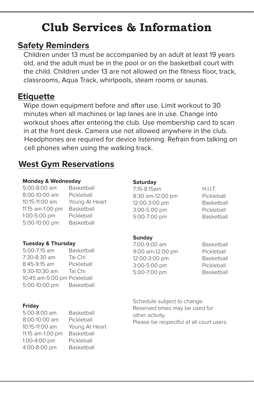### **Safety Reminders**

Children under 13 must be accompanied by an adult at least 19 years old, and the adult must be in the pool or on the basketball court with the child. Children under 13 are not allowed on the fitness floor, track, classrooms, Aqua Track, whirlpools, steam rooms or saunas.

### **Etiquette**

Wipe down equipment before and after use. Limit workout to 30 minutes when all machines or lap lanes are in use. Change into workout shoes after entering the club. Use membership card to scan in at the front desk. Camera use not allowed anywhere in the club. Headphones are required for device listening. Refrain from talking on cell phones when using the walking track.

### **West Gym Reservations**

#### **Monday & Wednesday**

5:00-8:00 am Basketball 8:00-10:00 am Pickleball 10:15-11:00 am Young At Heart 11:15 am-1:00 pm Basketball 1:00-5:00 pm Pickleball 5:00-10:00 pm Basketball

#### **Tuesday & Thursday**

5:00-7:15 am Basketball 7:30-8:30 am Tai Chi 8:45-9:15 am Pickleball 9:30-10:30 am Tai Chi 10:45 am-5:00 pm Pickleball 5:00-10:00 pm Basketball

#### **Friday**

5:00-8:00 am Basketball 8:00-10:00 am Pickleball 10:15-11:00 am Young At Heart 11:15 am-1:00 pm Basketball 1:00-4:00 pm Pickleball 4:00-8:00 pm Basketball

#### **Saturday**

7:15-8:15am H.I.I.T. 8:30 am-12:00 pm Pickleball 12:00-3:00 pm Basketball 3:00-5:00 pm Pickleball 5:00-7:00 pm Basketball

#### **Sunday**

7:00-9:00 am Basketball 9:00 am-12:00 pm Pickleball 12:00-3:00 pm Basketball 3:00-5:00 pm Pickleball 5:00-7:00 pm Basketball

Schedule subject to change. Reserved times may be used for other activity. Please be respectful of all court users.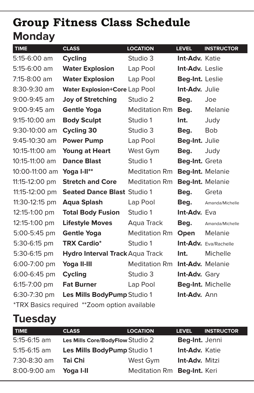# **Monday Group Fitness Class Schedule**

| <b>TIME</b>      | <b>CLASS</b>                                  | <b>LOCATION</b>      | <b>LEVEL</b>          | <b>INSTRUCTOR</b>       |
|------------------|-----------------------------------------------|----------------------|-----------------------|-------------------------|
| 5:15-6:00 am     | <b>Cycling</b>                                | Studio 3             | <b>Int-Adv. Katie</b> |                         |
| 5:15-6:00 am     | <b>Water Explosion</b>                        | Lap Pool             | Int-Adv. Leslie       |                         |
| 7:15-8:00 am     | <b>Water Explosion</b>                        | Lap Pool             | Beg-Int. Leslie       |                         |
| 8:30-9:30 am     | Water Explosion+Core Lap Pool                 |                      | Int-Adv. Julie        |                         |
| 9:00-9:45 am     | <b>Joy of Stretching</b>                      | Studio 2             | Beg.                  | Joe                     |
| $9:00 - 9:45$ am | <b>Gentle Yoga</b>                            | <b>Meditation Rm</b> | Beg.                  | Melanie                 |
| $9:15-10:00$ am  | <b>Body Sculpt</b>                            | Studio 1             | Int.                  | Judy                    |
| 9:30-10:00 am    | <b>Cycling 30</b>                             | Studio 3             | Beg.                  | <b>Bob</b>              |
| 9:45-10:30 am    | <b>Power Pump</b>                             | Lap Pool             | Beg-Int. Julie        |                         |
| 10:15-11:00 am   | <b>Young at Heart</b>                         | West Gym             | Beg.                  | Judy                    |
| 10:15-11:00 am   | <b>Dance Blast</b>                            | Studio 1             | Beg-Int. Greta        |                         |
| 10:00-11:00 am   | Yoga I-II**                                   | Meditation Rm        |                       | Beg-Int. Melanie        |
| 11:15-12:00 pm   | <b>Stretch and Core</b>                       | <b>Meditation Rm</b> |                       | Beg-Int. Melanie        |
| 11:15-12:00 pm   | <b>Seated Dance Blast Studio 1</b>            |                      | Beg.                  | Greta                   |
| 11:30-12:15 pm   | <b>Aqua Splash</b>                            | Lap Pool             | Beg.                  | Amanda/Michelle         |
| 12:15-1:00 pm    | <b>Total Body Fusion</b>                      | Studio 1             | <b>Int-Adv.</b> Eva   |                         |
| 12:15-1:00 pm    | <b>Lifestyle Moves</b>                        | Aqua Track           | Beg.                  | Amanda/Michelle         |
| 5:00-5:45 pm     | <b>Gentle Yoga</b>                            | <b>Meditation Rm</b> | Open                  | Melanie                 |
| 5:30-6:15 pm     | <b>TRX Cardio*</b>                            | Studio 1             |                       | Int-Adv. Eva/Rachelle   |
| 5:30-6:15 pm     | <b>Hydro Interval Track Aqua Track</b>        |                      | Int.                  | Michelle                |
| 6:00-7:00 pm     | Yoga II-III                                   | <b>Meditation Rm</b> |                       | <b>Int-Adv.</b> Melanie |
| 6:00-6:45 pm     | <b>Cycling</b>                                | Studio 3             | Int-Adv. Gary         |                         |
| 6:15-7:00 pm     | <b>Fat Burner</b>                             | Lap Pool             |                       | Beg-Int. Michelle       |
| 6:30-7:30 pm     | Les Mills BodyPump Studio 1                   |                      | Int-Adv. Ann          |                         |
|                  | *TRX Basics required ** Zoom option available |                      |                       |                         |

# **Tuesday**

| <b>TIME</b>    | <b>CLASS</b>                     | <b>LOCATION</b>             | <b>LEVEL</b>          | <b>INSTRUCTOR</b> |
|----------------|----------------------------------|-----------------------------|-----------------------|-------------------|
| $5:15-6:15$ am | Les Mills Core/BodyFlow Studio 2 |                             | Beg-Int. Jenni        |                   |
| $5:15-6:15$ am | Les Mills BodyPump Studio 1      |                             | <b>Int-Adv. Katie</b> |                   |
| 7:30-8:30 am   | Tai Chi                          | West Gym                    | <b>Int-Adv. Mitzi</b> |                   |
| 8:00-9:00 am   | Yoga I-II                        | Meditation Rm Beg-Int. Keri |                       |                   |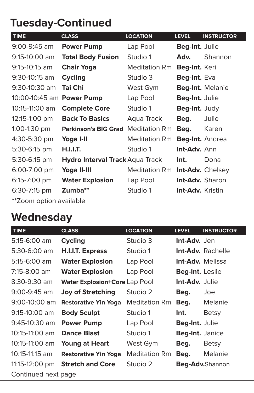# **Tuesday-Continued**

| <b>TIME</b>                          | <b>CLASS</b>                           | <b>LOCATION</b>      | <b>LEVEL</b>            | <b>INSTRUCTOR</b>       |
|--------------------------------------|----------------------------------------|----------------------|-------------------------|-------------------------|
| $9:00 - 9:45$ am                     | <b>Power Pump</b>                      | Lap Pool             | Beg-Int. Julie          |                         |
| $9:15-10:00$ am                      | <b>Total Body Fusion</b>               | Studio 1             | Adv.                    | Shannon                 |
| $9:15 - 10:15$ am                    | <b>Chair Yoga</b>                      | Meditation Rm        | Beg-Int. Keri           |                         |
| 9:30-10:15 am                        | <b>Cycling</b>                         | Studio 3             | Beg-Int. Eva            |                         |
| 9:30-10:30 am                        | Tai Chi                                | West Gym             |                         | Beg-Int. Melanie        |
| 10:00-10:45 am                       | <b>Power Pump</b>                      | Lap Pool             | Beg-Int. Julie          |                         |
| 10:15-11:00 am                       | <b>Complete Core</b>                   | Studio 1             | Beg-Int. Judy           |                         |
| 12:15-1:00 pm                        | <b>Back To Basics</b>                  | Aqua Track           | Beg.                    | Julie                   |
| $1:00-1:30$ pm                       | <b>Parkinson's BIG Grad</b>            | <b>Meditation Rm</b> | Beg.                    | Karen                   |
| 4:30-5:30 pm                         | Yoga I-II                              | <b>Meditation Rm</b> | Beg-Int. Andrea         |                         |
| 5:30-6:15 pm                         | <b>H.I.I.T.</b>                        | Studio 1             | Int-Adv. Ann            |                         |
| 5:30-6:15 pm                         | <b>Hydro Interval Track Aqua Track</b> |                      | Int.                    | Dona                    |
| 6:00-7:00 pm                         | Yoga II-III                            | Meditation Rm        |                         | <b>Int-Adv.</b> Chelsey |
| 6:15-7:00 pm                         | <b>Water Explosion</b>                 | Lap Pool             | <b>Int-Adv.</b> Sharon  |                         |
| 6:30-7:15 pm                         | Zumba**                                | Studio 1             | <b>Int-Adv.</b> Kristin |                         |
| ************************************ |                                        |                      |                         |                         |

\*\*Zoom option available

# **Wednesday**

| <b>TIME</b>         | <b>CLASS</b>                         | <b>LOCATION</b>      | <b>LEVEL</b>           | <b>INSTRUCTOR</b>        |
|---------------------|--------------------------------------|----------------------|------------------------|--------------------------|
| $5:15-6:00$ am      | <b>Cycling</b>                       | Studio 3             | Int-Adv. Jen           |                          |
| $5:30-6:00$ am      | H.I.I.T. Express                     | Studio 1             |                        | <b>Int-Adv.</b> Rachelle |
| $5:15-6:00$ am      | <b>Water Explosion</b>               | Lap Pool             |                        | <b>Int-Adv. Melissa</b>  |
| 7:15-8:00 am        | <b>Water Explosion</b>               | Lap Pool             | <b>Beg-Int.</b> Leslie |                          |
| $8:30 - 9:30$ am    | <b>Water Explosion+Core Lap Pool</b> |                      | <b>Int-Adv.</b> Julie  |                          |
| $9:00 - 9:45$ am    | <b>Joy of Stretching</b>             | Studio 2             | Beg.                   | Joe                      |
| $9:00-10:00$ am     | <b>Restorative Yin Yoga</b>          | <b>Meditation Rm</b> | Beg.                   | Melanie                  |
| $9:15-10:00$ am     | <b>Body Sculpt</b>                   | Studio 1             | Int.                   | Betsy                    |
| $9:45-10:30$ am     | <b>Power Pump</b>                    | Lap Pool             | Beg-Int. Julie         |                          |
| $10:15-11:00$ am    | <b>Dance Blast</b>                   | Studio 1             | Beg-Int. Janice        |                          |
| 10:15-11:00 am      | <b>Young at Heart</b>                | West Gym             | Beg.                   | <b>Betsy</b>             |
| 10:15-11:15 am      | <b>Restorative Yin Yoga</b>          | <b>Meditation Rm</b> | Beg.                   | Melanie                  |
| 11:15-12:00 pm      | <b>Stretch and Core</b>              | Studio 2             |                        | Beg-Adv.Shannon          |
| Continued next page |                                      |                      |                        |                          |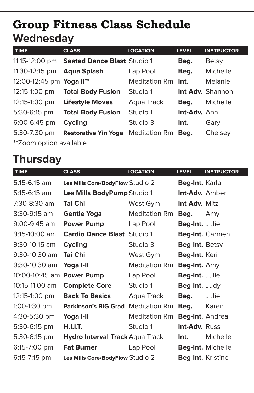# **Wednesday Group Fitness Class Schedule**

| <b>TIME</b>                | <b>CLASS</b>                               | <b>LOCATION</b>      | <b>LEVEL</b>        | <b>INSTRUCTOR</b>       |
|----------------------------|--------------------------------------------|----------------------|---------------------|-------------------------|
|                            | 11:15-12:00 pm Seated Dance Blast Studio 1 |                      | Beg.                | <b>Betsy</b>            |
| 11:30-12:15 pm Aqua Splash |                                            | Lap Pool             | Beg.                | Michelle                |
| 12:00-12:45 pm Yoga II**   |                                            | <b>Meditation Rm</b> | Int.                | Melanie                 |
| 12:15-1:00 pm              | <b>Total Body Fusion</b>                   | Studio 1             |                     | <b>Int-Adv.</b> Shannon |
| 12:15-1:00 pm              | <b>Lifestyle Moves</b>                     | Aqua Track           | Beg.                | Michelle                |
| 5:30-6:15 pm               | <b>Total Body Fusion</b>                   | Studio 1             | <b>Int-Adv.</b> Ann |                         |
| 6:00-6:45 pm               | <b>Cycling</b>                             | Studio 3             | Int.                | Gary                    |
| 6:30-7:30 pm               | <b>Restorative Yin Yoga</b>                | <b>Meditation Rm</b> | Beg.                | Chelsey                 |
| **Zoom option available    |                                            |                      |                     |                         |

# **Thursday**

| <b>TIME</b>      | <b>CLASS</b>                       | <b>LOCATION</b>      | <b>LEVEL</b>          | <b>INSTRUCTOR</b> |
|------------------|------------------------------------|----------------------|-----------------------|-------------------|
| $5:15-6:15$ am   | Les Mills Core/BodyFlow Studio 2   |                      | Beg-Int. Karla        |                   |
| $5:15-6:15$ am   | Les Mills BodyPump Studio 1        |                      | <b>Int-Adv.</b> Amber |                   |
| 7:30-8:30 am     | Tai Chi                            | West Gym             | <b>Int-Adv.</b> Mitzi |                   |
| $8:30 - 9:15$ am | Gentle Yoga                        | <b>Meditation Rm</b> | Beg.                  | Amy               |
| 9:00-9:45 am     | <b>Power Pump</b>                  | Lap Pool             | Beg-Int. Julie        |                   |
| 9:15-10:00 am    | <b>Cardio Dance Blast</b> Studio 1 |                      |                       | Beg-Int. Carmen   |
| 9:30-10:15 am    | <b>Cycling</b>                     | Studio 3             | Beg-Int. Betsy        |                   |
| 9:30-10:30 am    | Tai Chi                            | West Gym             | Beg-Int. Keri         |                   |
| 9:30-10:30 am    | Yoga I-II                          | Meditation Rm        | Beg-Int. Amy          |                   |
| 10:00-10:45 am   | <b>Power Pump</b>                  | Lap Pool             | Beg-Int. Julie        |                   |
| 10:15-11:00 am   | <b>Complete Core</b>               | Studio 1             | Beg-Int. Judy         |                   |
| 12:15-1:00 pm    | <b>Back To Basics</b>              | Aqua Track           | Beg.                  | Julie             |
| $1:00-1:30$ pm   | <b>Parkinson's BIG Grad</b>        | <b>Meditation Rm</b> | Beg.                  | Karen             |
| 4:30-5:30 pm     | Yoga I-II                          | Meditation Rm        | Beg-Int. Andrea       |                   |
| 5:30-6:15 pm     | H.I.I.T.                           | Studio 1             | <b>Int-Adv.</b> Russ  |                   |
| 5:30-6:15 pm     | Hydro Interval Track Aqua Track    |                      | Int.                  | Michelle          |
| 6:15-7:00 pm     | <b>Fat Burner</b>                  | Lap Pool             |                       | Beg-Int. Michelle |
| 6:15-7:15 pm     | Les Mills Core/BodyFlow Studio 2   |                      | Beg-Int. Kristine     |                   |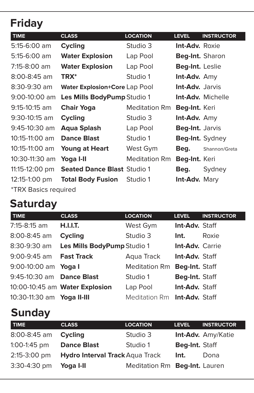# **Friday**

| <b>TIME</b>                        | <b>CLASS</b>                       | <b>LOCATION</b>      | <b>LEVEL</b>           | <b>INSTRUCTOR</b>        |
|------------------------------------|------------------------------------|----------------------|------------------------|--------------------------|
| 5:15-6:00 am                       | <b>Cycling</b>                     | Studio 3             | <b>Int-Adv.</b> Roxie  |                          |
| $5:15-6:00$ am                     | <b>Water Explosion</b>             | Lap Pool             | Beg-Int. Sharon        |                          |
| 7:15-8:00 am                       | <b>Water Explosion</b>             | Lap Pool             | <b>Beg-Int.</b> Leslie |                          |
| $8:00 - 8:45$ am                   | <b>TRX*</b>                        | Studio 1             | Int-Adv. Amy           |                          |
| $8:30 - 9:30$ am                   | Water Explosion+Core Lap Pool      |                      | <b>Int-Adv.</b> Jarvis |                          |
| $9:00-10:00$ am                    | Les Mills BodyPump Studio 1        |                      |                        | <b>Int-Adv.</b> Michelle |
| $9:15 - 10:15$ am                  | <b>Chair Yoga</b>                  | <b>Meditation Rm</b> | Beg-Int. Keri          |                          |
| $9:30-10:15$ am                    | <b>Cycling</b>                     | Studio 3             | <b>Int-Adv.</b> Amy    |                          |
| $9:45-10:30$ am                    | Aqua Splash                        | Lap Pool             | <b>Beg-Int.</b> Jarvis |                          |
| $10:15-11:00$ am                   | <b>Dance Blast</b>                 | Studio 1             | Beg-Int. Sydney        |                          |
| $10:15-11:00$ am                   | <b>Young at Heart</b>              | West Gym             | Beg.                   | Shannon/Greta            |
| 10:30-11:30 am                     | Yoga I-II                          | <b>Meditation Rm</b> | Beg-Int. Keri          |                          |
| 11:15-12:00 pm                     | <b>Seated Dance Blast Studio 1</b> |                      | Beg.                   | Sydney                   |
| 12:15-1:00 pm                      | <b>Total Body Fusion</b>           | Studio 1             | <b>Int-Adv. Mary</b>   |                          |
| <i><b>*TRX Basics required</b></i> |                                    |                      |                        |                          |

# **Saturday**

| <b>TIME</b>                | <b>CLASS</b>                   | <b>LOCATION</b>              | <b>LEVEL</b>    | <b>INSTRUCTOR</b> |
|----------------------------|--------------------------------|------------------------------|-----------------|-------------------|
| 7:15-8:15 am               | H.I.I.T.                       | West Gym                     | Int-Adv. Staff  |                   |
| 8:00-8:45 am               | <b>Cycling</b>                 | Studio 3                     | Int.            | Roxie             |
| 8:30-9:30 am               | Les Mills BodyPump Studio 1    |                              | Int-Adv. Carrie |                   |
| 9:00-9:45 am               | <b>Fast Track</b>              | Aqua Track                   | Int-Adv. Staff  |                   |
| 9:00-10:00 am Yoga I       |                                | <b>Meditation Rm</b>         | Beg-Int. Staff  |                   |
| 9:45-10:30 am Dance Blast  |                                | Studio 1                     | Beg-Int. Staff  |                   |
|                            | 10:00-10:45 am Water Explosion | Lap Pool                     | Int-Adv. Staff  |                   |
| 10:30-11:30 am Yoga II-III |                                | Meditation Rm Int-Adv. Staff |                 |                   |

# **Sunday**

| <b>TIME</b>    | <b>CLASS</b>                           | <b>LOCATION</b>               | <b>LEVEL</b>   | <b>INSTRUCTOR</b>  |
|----------------|----------------------------------------|-------------------------------|----------------|--------------------|
| 8:00-8:45 am   | <b>Cycling</b>                         | Studio 3                      |                | Int-Adv. Amy/Katie |
| $1:00-1:45$ pm | <b>Dance Blast</b>                     | Studio 1                      | Beg-Int. Staff |                    |
| 2:15-3:00 pm   | <b>Hydro Interval Track Aqua Track</b> |                               | Int.           | Dona               |
| 3:30-4:30 pm   | Yoga I-II                              | Meditation Rm Beg-Int. Lauren |                |                    |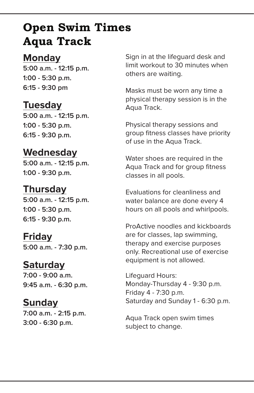# **Open Swim Times Aqua Track**

### **Monday**

**5:00 a.m. - 12:15 p.m. 1:00 - 5:30 p.m. 6:15 - 9:30 pm**

# **Tuesday**

**5:00 a.m. - 12:15 p.m. 1:00 - 5:30 p.m. 6:15 - 9:30 p.m.**

# **Wednesday**

**5:00 a.m. - 12:15 p.m. 1:00 - 9:30 p.m.**

# **Thursday**

**5:00 a.m. - 12:15 p.m. 1:00 - 5:30 p.m. 6:15 - 9:30 p.m.**

### **Friday**

**5:00 a.m. - 7:30 p.m.**

### **Saturday**

**7:00 - 9:00 a.m. 9:45 a.m. - 6:30 p.m.**

### **Sunday**

**7:00 a.m. - 2:15 p.m. 3:00 - 6:30 p.m.**

Sign in at the lifeguard desk and limit workout to 30 minutes when others are waiting.

Masks must be worn any time a physical therapy session is in the Aqua Track.

Physical therapy sessions and group fitness classes have priority of use in the Aqua Track.

Water shoes are required in the Aqua Track and for group fitness classes in all pools.

Evaluations for cleanliness and water balance are done every 4 hours on all pools and whirlpools.

ProActive noodles and kickboards are for classes, lap swimming, therapy and exercise purposes only. Recreational use of exercise equipment is not allowed.

Lifeguard Hours: Monday-Thursday 4 - 9:30 p.m. Friday 4 - 7:30 p.m. Saturday and Sunday 1 - 6:30 p.m.

Aqua Track open swim times subject to change.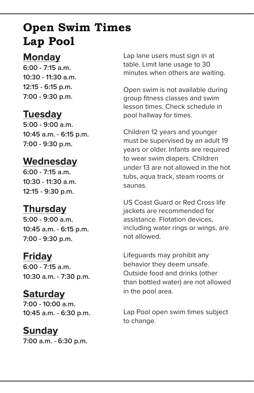# **Open Swim Times Lap Pool**

### **Monday**

**6:00 - 7:15 a.m. 10:30 - 11:30 a.m. 12:15 - 6:15 p.m. 7:00 - 9:30 p.m.** 

# **Tuesday**

**5:00 - 9:00 a.m. 10:45 a.m. - 6:15 p.m. 7:00 - 9:30 p.m.**

# **Wednesday**

**6:00 - 7:15 a.m. 10:30 - 11:30 a.m. 12:15 - 9:30 p.m.**

# **Thursday**

**5:00 - 9:00 a.m. 10:45 a.m. - 6:15 p.m. 7:00 - 9:30 p.m.** 

### **Friday**

**6:00 - 7:15 a.m. 10:30 a.m. - 7:30 p.m.** 

# **Saturday**

**7:00 - 10:00 a.m. 10:45 a.m. - 6:30 p.m.** 

# **Sunday**

**7:00 a.m. - 6:30 p.m.**

Lap lane users must sign in at table. Limit lane usage to 30 minutes when others are waiting.

Open swim is not available during group fitness classes and swim lesson times. Check schedule in pool hallway for times.

Children 12 years and younger must be supervised by an adult 19 years or older. Infants are required to wear swim diapers. Children under 13 are not allowed in the hot tubs, aqua track, steam rooms or saunas.

US Coast Guard or Red Cross life jackets are recommended for assistance. Flotation devices, including water rings or wings, are not allowed.

Lifeguards may prohibit any behavior they deem unsafe. Outside food and drinks (other than bottled water) are not allowed in the pool area.

Lap Pool open swim times subject to change.